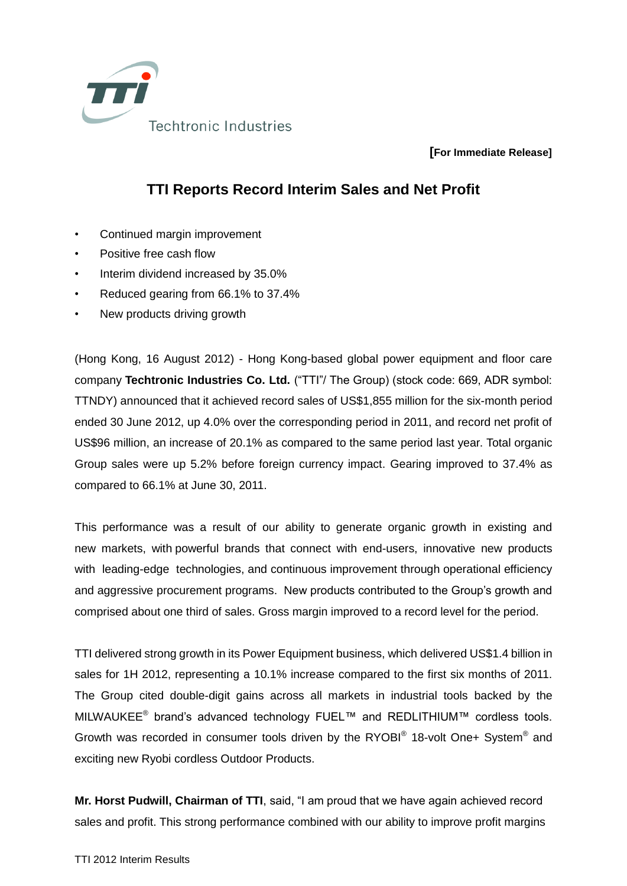

**[For Immediate Release]**

## **TTI Reports Record Interim Sales and Net Profit**

- Continued margin improvement
- Positive free cash flow
- Interim dividend increased by 35.0%
- Reduced gearing from 66.1% to 37.4%
- New products driving growth

(Hong Kong, 16 August 2012) - Hong Kong-based global power equipment and floor care company **Techtronic Industries Co. Ltd.** ("TTI"/ The Group) (stock code: 669, ADR symbol: TTNDY) announced that it achieved record sales of US\$1,855 million for the six-month period ended 30 June 2012, up 4.0% over the corresponding period in 2011, and record net profit of US\$96 million, an increase of 20.1% as compared to the same period last year. Total organic Group sales were up 5.2% before foreign currency impact. Gearing improved to 37.4% as compared to 66.1% at June 30, 2011.

This performance was a result of our ability to generate organic growth in existing and new markets, with powerful brands that connect with end-users, innovative new products with leading-edge technologies, and continuous improvement through operational efficiency and aggressive procurement programs. New products contributed to the Group's growth and comprised about one third of sales. Gross margin improved to a record level for the period.

TTI delivered strong growth in its Power Equipment business, which delivered US\$1.4 billion in sales for 1H 2012, representing a 10.1% increase compared to the first six months of 2011. The Group cited double-digit gains across all markets in industrial tools backed by the MILWAUKEE<sup>®</sup> brand's advanced technology FUEL™ and REDLITHIUM™ cordless tools. Growth was recorded in consumer tools driven by the RYOBI® 18-volt One+ System® and exciting new Ryobi cordless Outdoor Products.

**Mr. Horst Pudwill, Chairman of TTI**, said, "I am proud that we have again achieved record sales and profit. This strong performance combined with our ability to improve profit margins